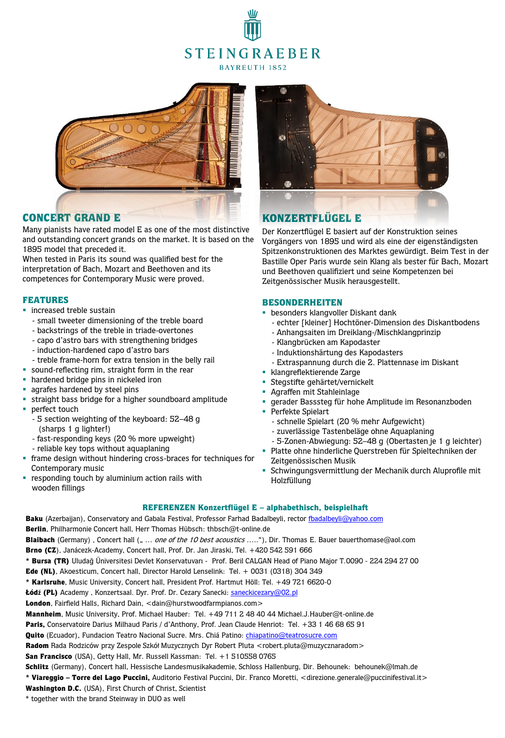# **STEINGRAEBER** BAYREUTH 1852



## CONCERT GRAND E

Many pianists have rated model E as one of the most distinctive and outstanding concert grands on the market. It is based on the 1895 model that preceded it.

When tested in Paris its sound was qualified best for the interpretation of Bach, Mozart and Beethoven and its competences for Contemporary Music were proved.

### FEATURES

- **·** increased treble sustain
	- small tweeter dimensioning of the treble board
	- backstrings of the treble in triade-overtones
	- capo d'astro bars with strengthening bridges
	- induction-hardened capo d'astro bars
	- treble frame-horn for extra tension in the belly rail
- sound-reflecting rim, straight form in the rear
- **·** hardened bridge pins in nickeled iron
- **a** agrafes hardened by steel pins
- **Example 1** straight bass bridge for a higher soundboard amplitude
- perfect touch
	- 5 section weighting of the keyboard: 52–48 g (sharps 1 g lighter!)
	- fast-responding keys (20 % more upweight)
	- reliable key tops without aquaplaning
- frame design without hindering cross-braces for techniques for Contemporary music
- **•** responding touch by aluminium action rails with wooden fillings



# KONZERTFLÜGEL E

Der Konzertflügel E basiert auf der Konstruktion seines Vorgängers von 1895 und wird als eine der eigenständigsten Spitzenkonstruktionen des Marktes gewürdigt. Beim Test in der Bastille Oper Paris wurde sein Klang als bester für Bach, Mozart und Beethoven qualifiziert und seine Kompetenzen bei Zeitgenössischer Musik herausgestellt.

#### BESONDERHEITEN

- **besonders klangvoller Diskant dank** 
	- echter [kleiner] Hochtöner-Dimension des Diskantbodens
	- Anhangsaiten im Dreiklang-/Mischklangprinzip
	- Klangbrücken am Kapodaster
- Induktionshärtung des Kapodasters
- Extraspannung durch die 2. Plattennase im Diskant
- klangreflektierende Zarge
- **·** Stegstifte gehärtet/vernickelt
- Agraffen mit Stahleinlage
- gerader Basssteg für hohe Amplitude im Resonanzboden
- Perfekte Spielart
	- schnelle Spielart (20 % mehr Aufgewicht)
	- zuverlässige Tastenbeläge ohne Aquaplaning
	- 5-Zonen-Abwiegung: 52–48 g (Obertasten je 1 g leichter)
- Platte ohne hinderliche Querstreben für Spieltechniken der Zeitgenössischen Musik
- Schwingungsvermittlung der Mechanik durch Aluprofile mit Holzfüllung

#### REFERENZEN Konzertflügel E – alphabethisch, beispielhaft

Baku (Azerbaijan), Conservatory and Gabala Festival, Professor Farhad Badalbeyli, rector [fbadalbeyli@yahoo.com](mailto:fbadalbeyli@yahoo.com) Berlin, Philharmonie Concert hall, Herr Thomas Hübsch: thbsch@t-online.de Blaibach (Germany), Concert hall (" ... one of the 10 best acoustics ....."), Dir. Thomas E. Bauer bauerthomase@aol.com Brno (CZ), Janácezk-Academy, Concert hall, Prof. Dr. Jan Jiraski, Tel. +420 542 591 666 \* Bursa (TR) Uludağ Üniversitesi Devlet Konservatuvarı - Prof. Beril CALGAN Head of Piano Major T.0090 - 224 294 27 00 Ede (NL), Akoesticum, Concert hall, Director Harold Lenselink: Tel. + 0031 (0318) 304 349 \* Karlsruhe, Music University, Concert hall, President Prof. Hartmut Höll: Tel. +49 721 6620-0 Łódź (PL) Academy, Konzertsaal. Dyr. Prof. Dr. Cezary Sanecki: **saneckicezary@02.pl** London, Fairfield Halls, Richard Dain, <dain@hurstwoodfarmpianos.com> Mannheim, Music University, Prof. Michael Hauber: Tel. +49 711 2 48 40 44 Michael.J.Hauber@t-online.de Paris, Conservatoire Darius Milhaud Paris / d'Anthony, Prof. Jean Claude Henriot: Tel. +33 1 46 68 65 91 Quito (Ecuador), Fundacion Teatro Nacional Sucre. Mrs. Chiá Patino: *chiapatino@teatrosucre.com* Radom Rada Rodziców przy Zespole Szkół Muzycznych Dyr Robert Pluta <robert.pluta@muzycznaradom> San Francisco (USA), Getty Hall, Mr. Russell Kassman: Tel. +1 510558 0765 Schlitz (Germany), Concert hall, Hessische Landesmusikakademie, Schloss Hallenburg, Dir. Behounek: behounek@lmah.de \* Viareggio – Torre del Lago Puccini, Auditorio Festival Puccini, Dir. Franco Moretti, <direzione.generale@puccinifestival.it> Washington D.C. (USA), First Church of Christ, Scientist

\* together with the brand Steinway in DUO as well